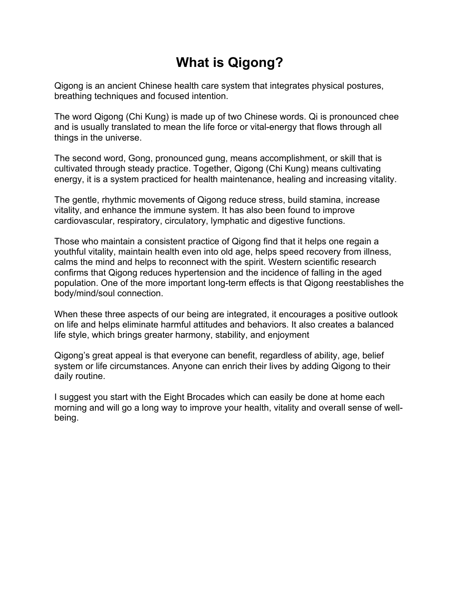# **What is Qigong?**

Qigong is an ancient Chinese health care system that integrates physical postures, breathing techniques and focused intention.

The word Qigong (Chi Kung) is made up of two Chinese words. Qi is pronounced chee and is usually translated to mean the life force or vital-energy that flows through all things in the universe.

The second word, Gong, pronounced gung, means accomplishment, or skill that is cultivated through steady practice. Together, Qigong (Chi Kung) means cultivating energy, it is a system practiced for health maintenance, healing and increasing vitality.

The gentle, rhythmic movements of Qigong reduce stress, build stamina, increase vitality, and enhance the immune system. It has also been found to improve cardiovascular, respiratory, circulatory, lymphatic and digestive functions.

Those who maintain a consistent practice of Qigong find that it helps one regain a youthful vitality, maintain health even into old age, helps speed recovery from illness, calms the mind and helps to reconnect with the spirit. Western scientific research confirms that Qigong reduces hypertension and the incidence of falling in the aged population. One of the more important long-term effects is that Qigong reestablishes the body/mind/soul connection.

When these three aspects of our being are integrated, it encourages a positive outlook on life and helps eliminate harmful attitudes and behaviors. It also creates a balanced life style, which brings greater harmony, stability, and enjoyment

Qigong's great appeal is that everyone can benefit, regardless of ability, age, belief system or life circumstances. Anyone can enrich their lives by adding Qigong to their daily routine.

I suggest you start with the Eight Brocades which can easily be done at home each morning and will go a long way to improve your health, vitality and overall sense of wellbeing.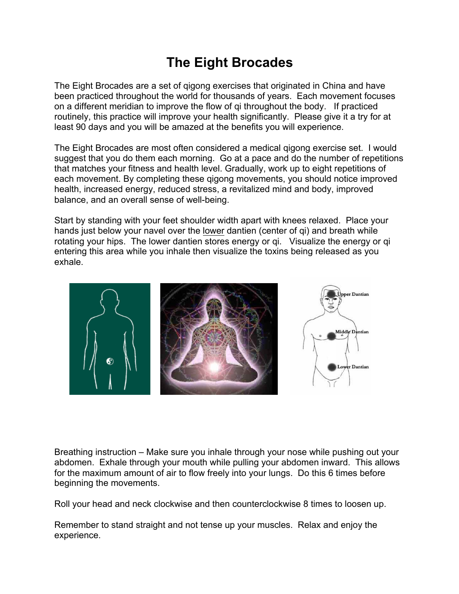# **The Eight Brocades**

The Eight Brocades are a set of qigong exercises that originated in China and have been practiced throughout the world for thousands of years. Each movement focuses on a different meridian to improve the flow of qi throughout the body. If practiced routinely, this practice will improve your health significantly. Please give it a try for at least 90 days and you will be amazed at the benefits you will experience.

The Eight Brocades are most often considered a medical qigong exercise set. I would suggest that you do them each morning. Go at a pace and do the number of repetitions that matches your fitness and health level. Gradually, work up to eight repetitions of each movement. By completing these qigong movements, you should notice improved health, increased energy, reduced stress, a revitalized mind and body, improved balance, and an overall sense of well-being.

Start by standing with your feet shoulder width apart with knees relaxed. Place your hands just below your navel over the lower dantien (center of qi) and breath while rotating your hips. The lower dantien stores energy or qi. Visualize the energy or qi entering this area while you inhale then visualize the toxins being released as you exhale.



Breathing instruction – Make sure you inhale through your nose while pushing out your abdomen. Exhale through your mouth while pulling your abdomen inward. This allows for the maximum amount of air to flow freely into your lungs. Do this 6 times before beginning the movements.

Roll your head and neck clockwise and then counterclockwise 8 times to loosen up.

Remember to stand straight and not tense up your muscles. Relax and enjoy the experience.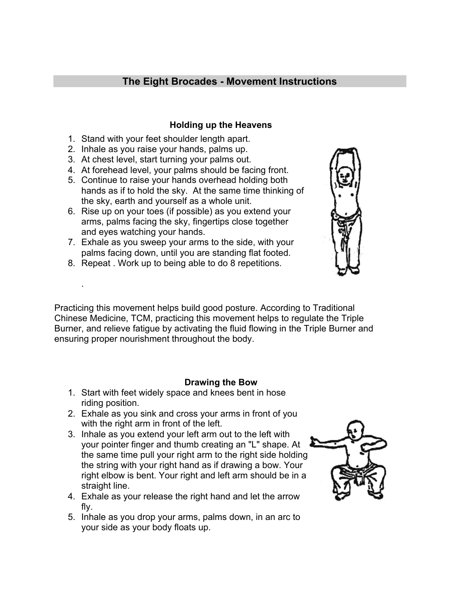# **The Eight Brocades - Movement Instructions**

#### **Holding up the Heavens**

- 1. Stand with your feet shoulder length apart.
- 2. Inhale as you raise your hands, palms up.
- 3. At chest level, start turning your palms out.
- 4. At forehead level, your palms should be facing front.
- 5. Continue to raise your hands overhead holding both hands as if to hold the sky. At the same time thinking of the sky, earth and yourself as a whole unit.
- 6. Rise up on your toes (if possible) as you extend your arms, palms facing the sky, fingertips close together and eyes watching your hands.
- 7. Exhale as you sweep your arms to the side, with your palms facing down, until you are standing flat footed.
- 8. Repeat . Work up to being able to do 8 repetitions.

.

Practicing this movement helps build good posture. According to Traditional Chinese Medicine, TCM, practicing this movement helps to regulate the Triple Burner, and relieve fatigue by activating the fluid flowing in the Triple Burner and ensuring proper nourishment throughout the body.

# **Drawing the Bow**

- 1. Start with feet widely space and knees bent in hose riding position.
- 2. Exhale as you sink and cross your arms in front of you with the right arm in front of the left.
- 3. Inhale as you extend your left arm out to the left with your pointer finger and thumb creating an "L" shape. At the same time pull your right arm to the right side holding the string with your right hand as if drawing a bow. Your right elbow is bent. Your right and left arm should be in a straight line.
- 4. Exhale as your release the right hand and let the arrow fly.
- 5. Inhale as you drop your arms, palms down, in an arc to your side as your body floats up.



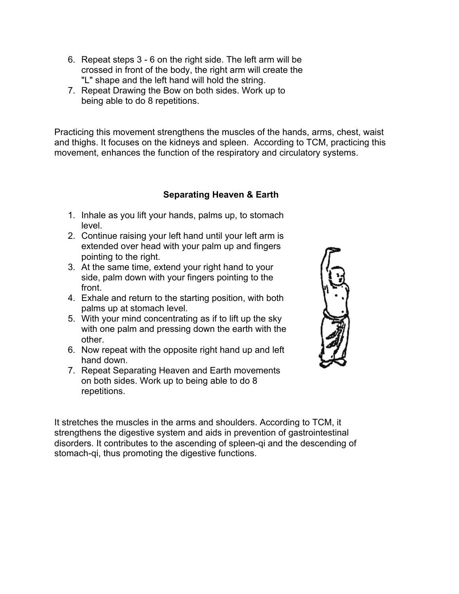- 6. Repeat steps 3 6 on the right side. The left arm will be crossed in front of the body, the right arm will create the "L" shape and the left hand will hold the string.
- 7. Repeat Drawing the Bow on both sides. Work up to being able to do 8 repetitions.

Practicing this movement strengthens the muscles of the hands, arms, chest, waist and thighs. It focuses on the kidneys and spleen. According to TCM, practicing this movement, enhances the function of the respiratory and circulatory systems.

# **Separating Heaven & Earth**

- 1. Inhale as you lift your hands, palms up, to stomach level.
- 2. Continue raising your left hand until your left arm is extended over head with your palm up and fingers pointing to the right.
- 3. At the same time, extend your right hand to your side, palm down with your fingers pointing to the front.
- 4. Exhale and return to the starting position, with both palms up at stomach level.
- 5. With your mind concentrating as if to lift up the sky with one palm and pressing down the earth with the other.
- 6. Now repeat with the opposite right hand up and left hand down.
- 7. Repeat Separating Heaven and Earth movements on both sides. Work up to being able to do 8 repetitions.



It stretches the muscles in the arms and shoulders. According to TCM, it strengthens the digestive system and aids in prevention of gastrointestinal disorders. It contributes to the ascending of spleen-qi and the descending of stomach-qi, thus promoting the digestive functions.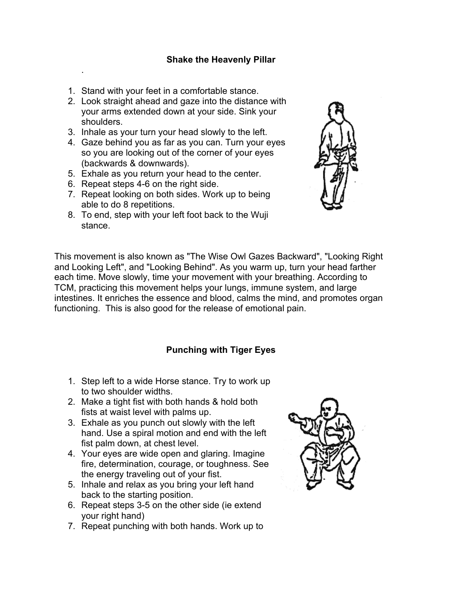#### **Shake the Heavenly Pillar**

- 1. Stand with your feet in a comfortable stance.
- 2. Look straight ahead and gaze into the distance with your arms extended down at your side. Sink your shoulders.
- 3. Inhale as your turn your head slowly to the left.
- 4. Gaze behind you as far as you can. Turn your eyes so you are looking out of the corner of your eyes (backwards & downwards).
- 5. Exhale as you return your head to the center.
- 6. Repeat steps 4-6 on the right side.

.

- 7. Repeat looking on both sides. Work up to being able to do 8 repetitions.
- 8. To end, step with your left foot back to the Wuji stance.



This movement is also known as "The Wise Owl Gazes Backward", "Looking Right and Looking Left", and "Looking Behind". As you warm up, turn your head farther each time. Move slowly, time your movement with your breathing. According to TCM, practicing this movement helps your lungs, immune system, and large intestines. It enriches the essence and blood, calms the mind, and promotes organ functioning. This is also good for the release of emotional pain.

#### **Punching with Tiger Eyes**

- 1. Step left to a wide Horse stance. Try to work up to two shoulder widths.
- 2. Make a tight fist with both hands & hold both fists at waist level with palms up.
- 3. Exhale as you punch out slowly with the left hand. Use a spiral motion and end with the left fist palm down, at chest level.
- 4. Your eyes are wide open and glaring. Imagine fire, determination, courage, or toughness. See the energy traveling out of your fist.
- 5. Inhale and relax as you bring your left hand back to the starting position.
- 6. Repeat steps 3-5 on the other side (ie extend your right hand)
- 7. Repeat punching with both hands. Work up to

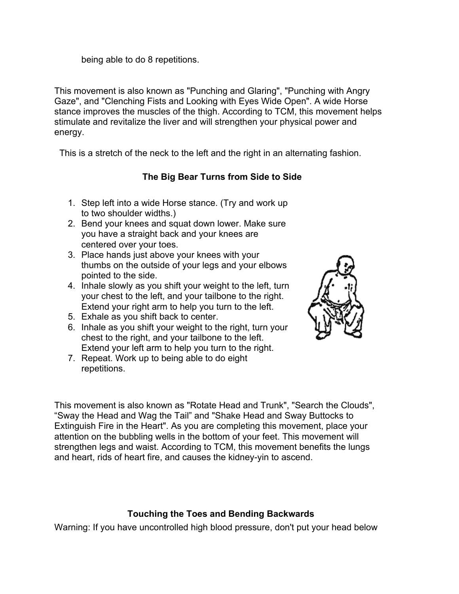being able to do 8 repetitions.

This movement is also known as "Punching and Glaring", "Punching with Angry Gaze", and "Clenching Fists and Looking with Eyes Wide Open". A wide Horse stance improves the muscles of the thigh. According to TCM, this movement helps stimulate and revitalize the liver and will strengthen your physical power and energy.

This is a stretch of the neck to the left and the right in an alternating fashion.

# **The Big Bear Turns from Side to Side**

- 1. Step left into a wide Horse stance. (Try and work up to two shoulder widths.)
- 2. Bend your knees and squat down lower. Make sure you have a straight back and your knees are centered over your toes.
- 3. Place hands just above your knees with your thumbs on the outside of your legs and your elbows pointed to the side.
- 4. Inhale slowly as you shift your weight to the left, turn your chest to the left, and your tailbone to the right. Extend your right arm to help you turn to the left.
- 5. Exhale as you shift back to center.
- 6. Inhale as you shift your weight to the right, turn your chest to the right, and your tailbone to the left. Extend your left arm to help you turn to the right.
- 7. Repeat. Work up to being able to do eight repetitions.



This movement is also known as "Rotate Head and Trunk", "Search the Clouds", "Sway the Head and Wag the Tail" and "Shake Head and Sway Buttocks to Extinguish Fire in the Heart". As you are completing this movement, place your attention on the bubbling wells in the bottom of your feet. This movement will strengthen legs and waist. According to TCM, this movement benefits the lungs and heart, rids of heart fire, and causes the kidney-yin to ascend.

# **Touching the Toes and Bending Backwards**

Warning: If you have uncontrolled high blood pressure, don't put your head below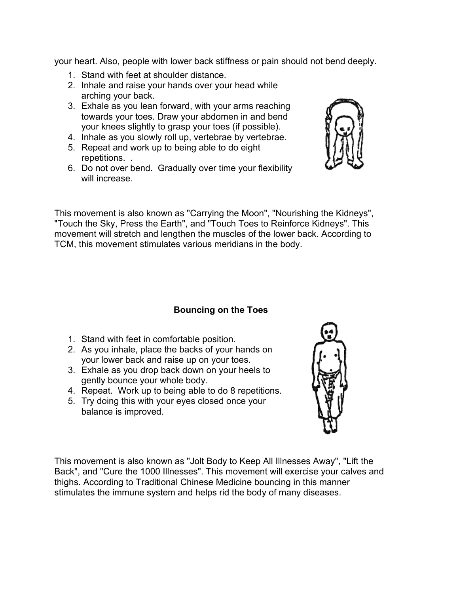your heart. Also, people with lower back stiffness or pain should not bend deeply.

- 1. Stand with feet at shoulder distance.
- 2. Inhale and raise your hands over your head while arching your back.
- 3. Exhale as you lean forward, with your arms reaching towards your toes. Draw your abdomen in and bend your knees slightly to grasp your toes (if possible).
- 4. Inhale as you slowly roll up, vertebrae by vertebrae.
- 5. Repeat and work up to being able to do eight repetitions. .
- 6. Do not over bend. Gradually over time your flexibility will increase.

This movement is also known as "Carrying the Moon", "Nourishing the Kidneys", "Touch the Sky, Press the Earth", and "Touch Toes to Reinforce Kidneys". This movement will stretch and lengthen the muscles of the lower back. According to TCM, this movement stimulates various meridians in the body.

#### **Bouncing on the Toes**

- 1. Stand with feet in comfortable position.
- 2. As you inhale, place the backs of your hands on your lower back and raise up on your toes.
- 3. Exhale as you drop back down on your heels to gently bounce your whole body.
- 4. Repeat. Work up to being able to do 8 repetitions.
- 5. Try doing this with your eyes closed once your balance is improved.

This movement is also known as "Jolt Body to Keep All Illnesses Away", "Lift the Back", and "Cure the 1000 Illnesses". This movement will exercise your calves and thighs. According to Traditional Chinese Medicine bouncing in this manner stimulates the immune system and helps rid the body of many diseases.